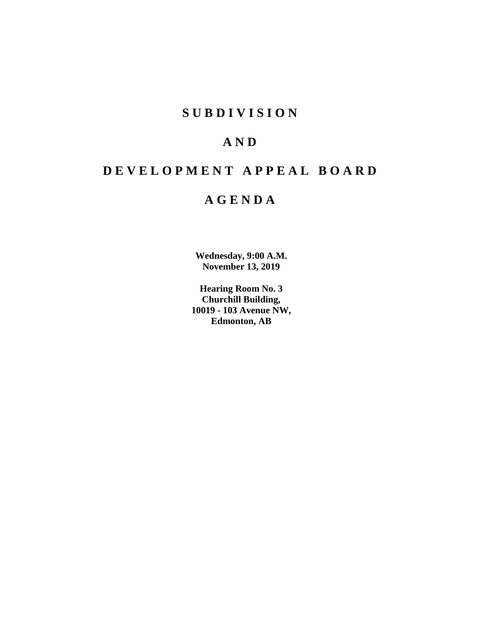# **SUBDIVISION**

# **AND**

# **DEVELOPMENT APPEAL BOARD**

# **AGENDA**

**Wednesday, 9:00 A.M. November 13, 2019**

**Hearing Room No. 3 Churchill Building, 10019 - 103 Avenue NW, Edmonton, AB**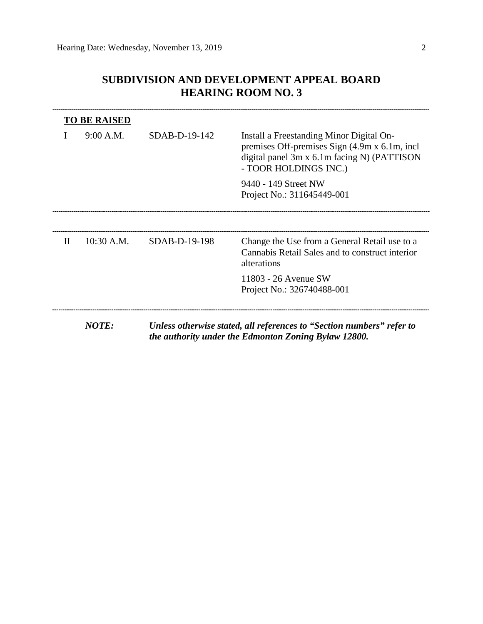# **SUBDIVISION AND DEVELOPMENT APPEAL BOARD HEARING ROOM NO. 3**

|   | <b>TO BE RAISED</b> |                 |                                                                                                                                                                    |  |  |
|---|---------------------|-----------------|--------------------------------------------------------------------------------------------------------------------------------------------------------------------|--|--|
|   | 9:00 A.M.           | $SDAB-D-19-142$ | Install a Freestanding Minor Digital On-<br>premises Off-premises Sign (4.9m x 6.1m, incl.<br>digital panel 3m x 6.1m facing N) (PATTISON<br>- TOOR HOLDINGS INC.) |  |  |
|   |                     |                 | 9440 - 149 Street NW                                                                                                                                               |  |  |
|   |                     |                 | Project No.: 311645449-001                                                                                                                                         |  |  |
|   |                     |                 |                                                                                                                                                                    |  |  |
| H | $10:30$ A.M.        | SDAB-D-19-198   | Change the Use from a General Retail use to a<br>Cannabis Retail Sales and to construct interior<br>alterations                                                    |  |  |
|   |                     |                 | 11803 - 26 Avenue SW                                                                                                                                               |  |  |
|   |                     |                 | Project No.: 326740488-001                                                                                                                                         |  |  |

*the authority under the Edmonton Zoning Bylaw 12800.*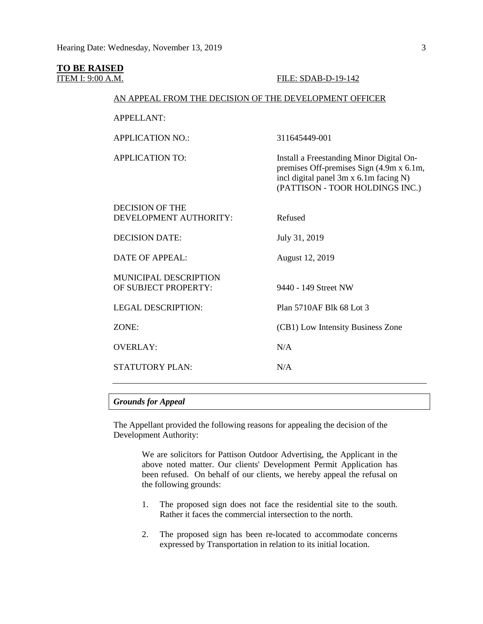# **TO BE RAISED**<br>**ITEM I: 9:00 A.M.** FILE: SDAB-D-19-142 AN APPEAL FROM THE DECISION OF THE DEVELOPMENT OFFICER APPELLANT: APPLICATION NO.: 311645449-001 APPLICATION TO: Install a Freestanding Minor Digital Onpremises Off-premises Sign (4.9m x 6.1m, incl digital panel 3m x 6.1m facing N) (PATTISON - TOOR HOLDINGS INC.) DECISION OF THE DEVELOPMENT AUTHORITY: Refused DECISION DATE: July 31, 2019 DATE OF APPEAL: August 12, 2019 MUNICIPAL DESCRIPTION OF SUBJECT PROPERTY: 9440 - 149 Street NW LEGAL DESCRIPTION: Plan 5710AF Blk 68 Lot 3 ZONE: (CB1) Low Intensity Business Zone OVERLAY: N/A STATUTORY PLAN: N/A

# *Grounds for Appeal*

The Appellant provided the following reasons for appealing the decision of the Development Authority:

> We are solicitors for Pattison Outdoor Advertising, the Applicant in the above noted matter. Our clients' Development Permit Application has been refused. On behalf of our clients, we hereby appeal the refusal on the following grounds:

- 1. The proposed sign does not face the residential site to the south. Rather it faces the commercial intersection to the north.
- 2. The proposed sign has been re-located to accommodate concerns expressed by Transportation in relation to its initial location.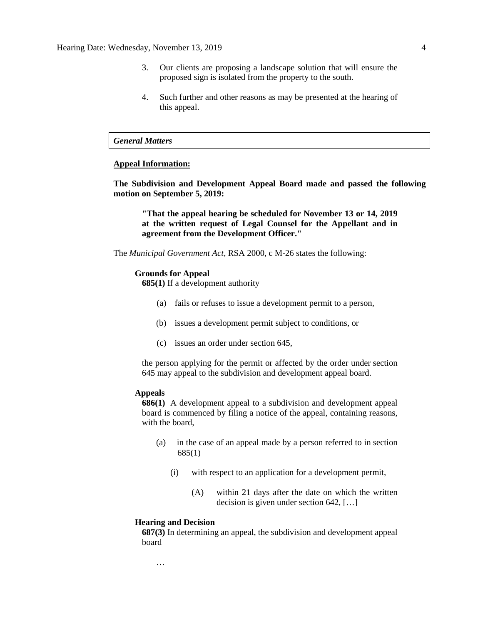- 3. Our clients are proposing a landscape solution that will ensure the proposed sign is isolated from the property to the south.
- 4. Such further and other reasons as may be presented at the hearing of this appeal.

### *General Matters*

#### **Appeal Information:**

**The Subdivision and Development Appeal Board made and passed the following motion on September 5, 2019:**

**"That the appeal hearing be scheduled for November 13 or 14, 2019 at the written request of Legal Counsel for the Appellant and in agreement from the Development Officer."**

The *Municipal Government Act*, RSA 2000, c M-26 states the following:

#### **Grounds for Appeal**

**685(1)** If a development authority

- (a) fails or refuses to issue a development permit to a person,
- (b) issues a development permit subject to conditions, or
- (c) issues an order under section 645,

the person applying for the permit or affected by the order under section 645 may appeal to the subdivision and development appeal board.

#### **Appeals**

**686(1)** A development appeal to a subdivision and development appeal board is commenced by filing a notice of the appeal, containing reasons, with the board,

- (a) in the case of an appeal made by a person referred to in section 685(1)
	- (i) with respect to an application for a development permit,
		- (A) within 21 days after the date on which the written decision is given under section 642, […]

#### **Hearing and Decision**

…

**687(3)** In determining an appeal, the subdivision and development appeal board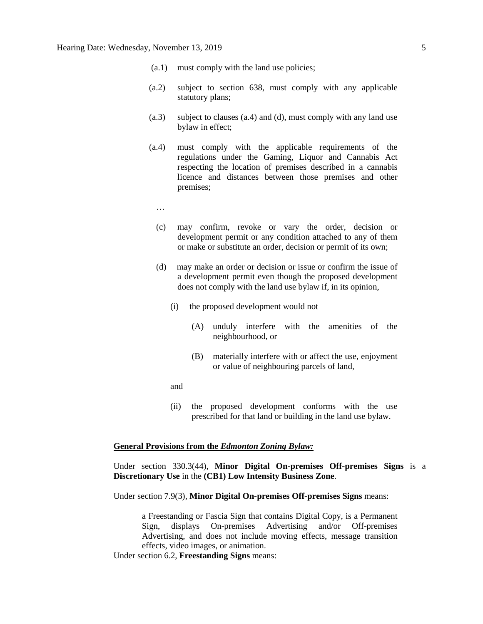- (a.1) must comply with the land use policies;
- (a.2) subject to section 638, must comply with any applicable statutory plans;
- (a.3) subject to clauses (a.4) and (d), must comply with any land use bylaw in effect;
- (a.4) must comply with the applicable requirements of the regulations under the Gaming, Liquor and Cannabis Act respecting the location of premises described in a cannabis licence and distances between those premises and other premises;
	- …
	- (c) may confirm, revoke or vary the order, decision or development permit or any condition attached to any of them or make or substitute an order, decision or permit of its own;
	- (d) may make an order or decision or issue or confirm the issue of a development permit even though the proposed development does not comply with the land use bylaw if, in its opinion,
		- (i) the proposed development would not
			- (A) unduly interfere with the amenities of the neighbourhood, or
			- (B) materially interfere with or affect the use, enjoyment or value of neighbouring parcels of land,
		- and
		- (ii) the proposed development conforms with the use prescribed for that land or building in the land use bylaw.

### **General Provisions from the** *Edmonton Zoning Bylaw:*

Under section 330.3(44), **Minor Digital On-premises Off-premises Signs** is a **Discretionary Use** in the **(CB1) Low Intensity Business Zone**.

Under section 7.9(3), **Minor Digital On-premises Off-premises Signs** means:

a Freestanding or Fascia Sign that contains Digital Copy, is a Permanent Sign, displays On-premises Advertising and/or Off-premises Advertising, and does not include moving effects, message transition effects, video images, or animation.

Under section 6.2, **Freestanding Signs** means: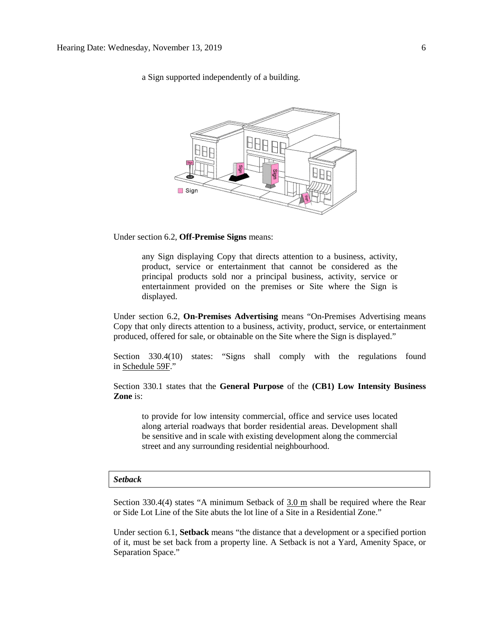a Sign supported independently of a building.



Under section 6.2, **Off-Premise Signs** means:

any Sign displaying Copy that directs attention to a business, activity, product, service or entertainment that cannot be considered as the principal products sold nor a principal business, activity, service or entertainment provided on the premises or Site where the Sign is displayed.

Under section 6.2, **On-Premises Advertising** means "On-Premises Advertising means Copy that only directs attention to a business, activity, product, service, or entertainment produced, offered for sale, or obtainable on the Site where the Sign is displayed."

Section 330.4(10) states: "Signs shall comply with the regulations found in [Schedule](https://webdocs.edmonton.ca/InfraPlan/zoningbylaw/ZoningBylaw/Schedule/Schedule_59F.htm) 59F."

Section 330.1 states that the **General Purpose** of the **(CB1) Low Intensity Business Zone** is:

to provide for low intensity commercial, office and service uses located along arterial roadways that border residential areas. Development shall be sensitive and in scale with existing development along the commercial street and any surrounding residential neighbourhood.

#### *Setback*

Section 330.4(4) states "A minimum Setback of  $3.0$  m shall be required where the Rear or Side Lot Line of the Site abuts the lot line of a Site in a Residential Zone."

Under section 6.1, **Setback** means "the distance that a development or a specified portion of it, must be set back from a property line. A Setback is not a Yard, Amenity Space, or Separation Space."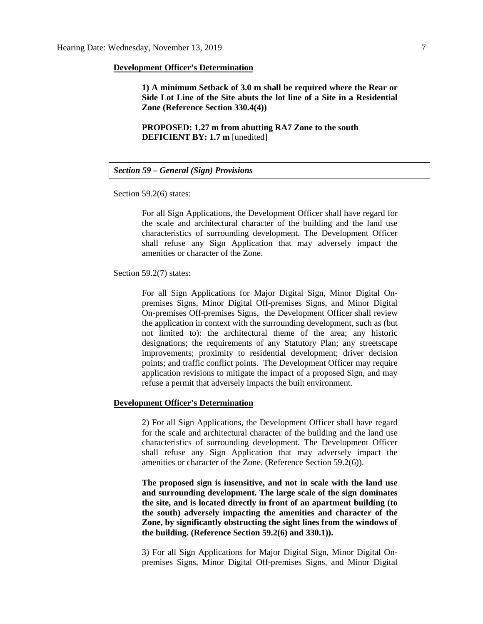#### **Development Officer's Determination**

**1) A minimum Setback of 3.0 m shall be required where the Rear or Side Lot Line of the Site abuts the lot line of a Site in a Residential Zone (Reference Section 330.4(4))**

**PROPOSED: 1.27 m from abutting RA7 Zone to the south DEFICIENT BY: 1.7 m** [unedited]

# *Section 59 – General (Sign) Provisions*

Section 59.2(6) states:

For all Sign Applications, the Development Officer shall have regard for the scale and architectural character of the building and the land use characteristics of surrounding development. The Development Officer shall refuse any Sign Application that may adversely impact the amenities or character of the Zone.

Section 59.2(7) states:

For all Sign Applications for Major Digital Sign, Minor Digital Onpremises Signs, Minor Digital Off-premises Signs, and Minor Digital On-premises Off-premises Signs, the Development Officer shall review the application in context with the surrounding development, such as (but not limited to): the architectural theme of the area; any historic designations; the requirements of any Statutory Plan; any streetscape improvements; proximity to residential development; driver decision points; and traffic conflict points. The Development Officer may require application revisions to mitigate the impact of a proposed Sign, and may refuse a permit that adversely impacts the built environment.

#### **Development Officer's Determination**

2) For all Sign Applications, the Development Officer shall have regard for the scale and architectural character of the building and the land use characteristics of surrounding development. The Development Officer shall refuse any Sign Application that may adversely impact the amenities or character of the Zone. (Reference Section 59.2(6)).

**The proposed sign is insensitive, and not in scale with the land use and surrounding development. The large scale of the sign dominates the site, and is located directly in front of an apartment building (to the south) adversely impacting the amenities and character of the Zone, by significantly obstructing the sight lines from the windows of the building. (Reference Section 59.2(6) and 330.1)).**

3) For all Sign Applications for Major Digital Sign, Minor Digital Onpremises Signs, Minor Digital Off-premises Signs, and Minor Digital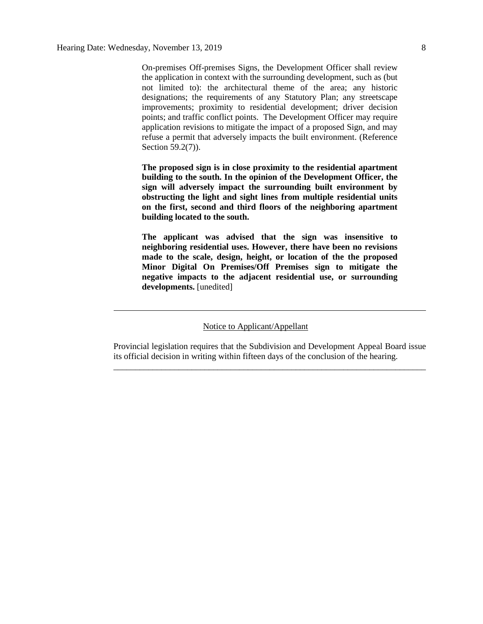On-premises Off-premises Signs, the Development Officer shall review the application in context with the surrounding development, such as (but not limited to): the architectural theme of the area; any historic designations; the requirements of any Statutory Plan; any streetscape improvements; proximity to residential development; driver decision points; and traffic conflict points. The Development Officer may require application revisions to mitigate the impact of a proposed Sign, and may refuse a permit that adversely impacts the built environment. (Reference Section 59.2(7)).

**The proposed sign is in close proximity to the residential apartment building to the south. In the opinion of the Development Officer, the sign will adversely impact the surrounding built environment by obstructing the light and sight lines from multiple residential units on the first, second and third floors of the neighboring apartment building located to the south.** 

**The applicant was advised that the sign was insensitive to neighboring residential uses. However, there have been no revisions made to the scale, design, height, or location of the the proposed Minor Digital On Premises/Off Premises sign to mitigate the negative impacts to the adjacent residential use, or surrounding developments.** [unedited]

#### Notice to Applicant/Appellant

Provincial legislation requires that the Subdivision and Development Appeal Board issue its official decision in writing within fifteen days of the conclusion of the hearing. \_\_\_\_\_\_\_\_\_\_\_\_\_\_\_\_\_\_\_\_\_\_\_\_\_\_\_\_\_\_\_\_\_\_\_\_\_\_\_\_\_\_\_\_\_\_\_\_\_\_\_\_\_\_\_\_\_\_\_\_\_\_\_\_\_\_\_\_\_\_\_\_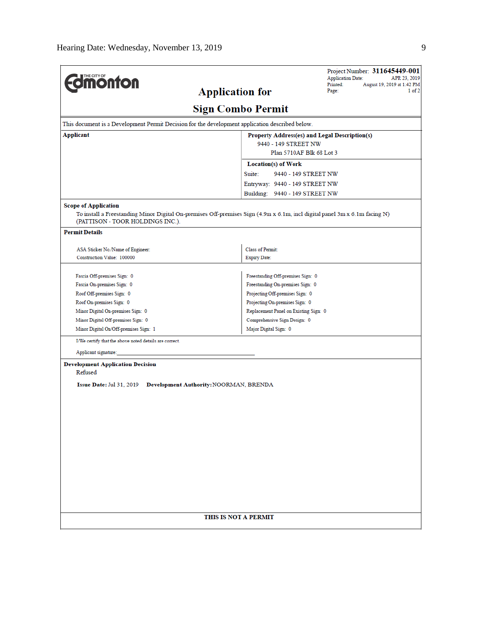| <b>dmonton</b>                                                                                  | Project Number: 311645449-001<br><b>Application Date:</b><br>APR 23, 2019                                                  |  |  |  |  |  |  |  |  |
|-------------------------------------------------------------------------------------------------|----------------------------------------------------------------------------------------------------------------------------|--|--|--|--|--|--|--|--|
|                                                                                                 | Printed:<br>August 19, 2019 at 1:42 PM<br><b>Application for</b><br>Page:<br>1 of 2                                        |  |  |  |  |  |  |  |  |
| <b>Sign Combo Permit</b>                                                                        |                                                                                                                            |  |  |  |  |  |  |  |  |
| This document is a Development Permit Decision for the development application described below. |                                                                                                                            |  |  |  |  |  |  |  |  |
| Applicant                                                                                       | Property Address(es) and Legal Description(s)                                                                              |  |  |  |  |  |  |  |  |
| 9440 - 149 STREET NW                                                                            |                                                                                                                            |  |  |  |  |  |  |  |  |
|                                                                                                 | Plan 5710AF Blk 68 Lot 3                                                                                                   |  |  |  |  |  |  |  |  |
|                                                                                                 | <b>Location(s) of Work</b>                                                                                                 |  |  |  |  |  |  |  |  |
|                                                                                                 | Suite:<br>9440 - 149 STREET NW                                                                                             |  |  |  |  |  |  |  |  |
|                                                                                                 | Entryway: 9440 - 149 STREET NW                                                                                             |  |  |  |  |  |  |  |  |
|                                                                                                 | Building: 9440 - 149 STREET NW                                                                                             |  |  |  |  |  |  |  |  |
| <b>Scope of Application</b><br>(PATTISON - TOOR HOLDINGS INC.).<br><b>Permit Details</b>        | To install a Freestanding Minor Digital On-premises Off-premises Sign (4.9m x 6.1m, incl digital panel 3m x 6.1m facing N) |  |  |  |  |  |  |  |  |
|                                                                                                 |                                                                                                                            |  |  |  |  |  |  |  |  |
| ASA Sticker No./Name of Engineer:<br>Construction Value: 100000                                 | Class of Permit:<br><b>Expiry Date:</b>                                                                                    |  |  |  |  |  |  |  |  |
|                                                                                                 |                                                                                                                            |  |  |  |  |  |  |  |  |
| Fascia Off-premises Sign: 0                                                                     | Freestanding Off-premises Sign: 0                                                                                          |  |  |  |  |  |  |  |  |
| Fascia On-premises Sign: 0                                                                      | Freestanding On-premises Sign: 0                                                                                           |  |  |  |  |  |  |  |  |
| Roof Off-premises Sign: 0                                                                       | Projecting Off-premises Sign: 0                                                                                            |  |  |  |  |  |  |  |  |
| Roof On-premises Sign: 0                                                                        | Projecting On-premises Sign: 0                                                                                             |  |  |  |  |  |  |  |  |
| Minor Digital On-premises Sign: 0                                                               | Replacement Panel on Existing Sign: 0                                                                                      |  |  |  |  |  |  |  |  |
| Minor Digital Off-premises Sign: 0                                                              | Comprehensive Sign Design: 0                                                                                               |  |  |  |  |  |  |  |  |
| Minor Digital On/Off-premises Sign: 1                                                           | Major Digital Sign: 0                                                                                                      |  |  |  |  |  |  |  |  |
| I/We certify that the above noted details are correct.                                          |                                                                                                                            |  |  |  |  |  |  |  |  |
| Applicant signature:                                                                            |                                                                                                                            |  |  |  |  |  |  |  |  |
| <b>Development Application Decision</b><br>Refused<br>Issue Date: Jul 31, 2019                  | Development Authority: NOORMAN, BRENDA                                                                                     |  |  |  |  |  |  |  |  |
|                                                                                                 | THIS IS NOT A PERMIT                                                                                                       |  |  |  |  |  |  |  |  |
|                                                                                                 |                                                                                                                            |  |  |  |  |  |  |  |  |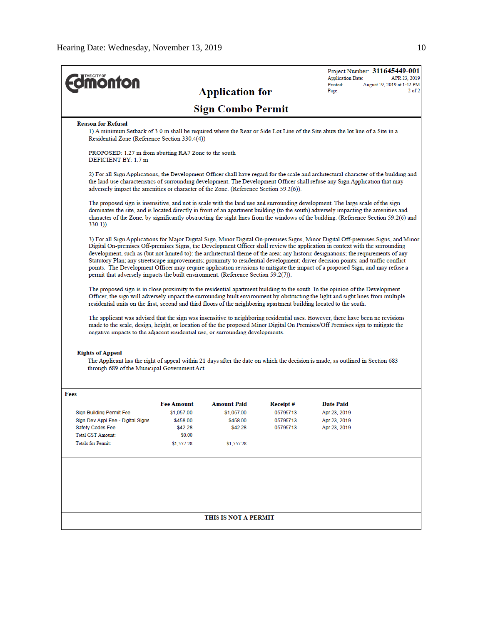|                                                                                                                                                                                                                                                                                                                                                                                                                                                                                                                                                                                                                                                                                                                                                                   |                                                                                                                                                                                |                          |                      | <b>Application Date:</b>     | Project Number: 311645449-001<br>APR 23, 2019 |  |  |  |  |  |
|-------------------------------------------------------------------------------------------------------------------------------------------------------------------------------------------------------------------------------------------------------------------------------------------------------------------------------------------------------------------------------------------------------------------------------------------------------------------------------------------------------------------------------------------------------------------------------------------------------------------------------------------------------------------------------------------------------------------------------------------------------------------|--------------------------------------------------------------------------------------------------------------------------------------------------------------------------------|--------------------------|----------------------|------------------------------|-----------------------------------------------|--|--|--|--|--|
| <b>onton</b>                                                                                                                                                                                                                                                                                                                                                                                                                                                                                                                                                                                                                                                                                                                                                      |                                                                                                                                                                                | <b>Application for</b>   |                      | Printed:<br>Page:            | August 19, 2019 at 1:42 PM<br>$2$ of $2$      |  |  |  |  |  |
|                                                                                                                                                                                                                                                                                                                                                                                                                                                                                                                                                                                                                                                                                                                                                                   |                                                                                                                                                                                | <b>Sign Combo Permit</b> |                      |                              |                                               |  |  |  |  |  |
| <b>Reason for Refusal</b>                                                                                                                                                                                                                                                                                                                                                                                                                                                                                                                                                                                                                                                                                                                                         |                                                                                                                                                                                |                          |                      |                              |                                               |  |  |  |  |  |
|                                                                                                                                                                                                                                                                                                                                                                                                                                                                                                                                                                                                                                                                                                                                                                   | 1) A minimum Setback of 3.0 m shall be required where the Rear or Side Lot Line of the Site abuts the lot line of a Site in a<br>Residential Zone (Reference Section 330.4(4)) |                          |                      |                              |                                               |  |  |  |  |  |
| PROPOSED: 1.27 m from abutting RA7 Zone to the south<br>DEFICIENT BY: 1.7 m                                                                                                                                                                                                                                                                                                                                                                                                                                                                                                                                                                                                                                                                                       |                                                                                                                                                                                |                          |                      |                              |                                               |  |  |  |  |  |
| 2) For all Sign Applications, the Development Officer shall have regard for the scale and architectural character of the building and<br>the land use characteristics of surrounding development. The Development Officer shall refuse any Sign Application that may<br>adversely impact the amenities or character of the Zone. (Reference Section 59.2(6)).                                                                                                                                                                                                                                                                                                                                                                                                     |                                                                                                                                                                                |                          |                      |                              |                                               |  |  |  |  |  |
| The proposed sign is insensitive, and not in scale with the land use and surrounding development. The large scale of the sign<br>dominates the site, and is located directly in front of an apartment building (to the south) adversely impacting the amenities and<br>character of the Zone, by significantly obstructing the sight lines from the windows of the building. (Reference Section 59.2(6) and<br>$330.1)$ ).                                                                                                                                                                                                                                                                                                                                        |                                                                                                                                                                                |                          |                      |                              |                                               |  |  |  |  |  |
| 3) For all Sign Applications for Major Digital Sign, Minor Digital On-premises Signs, Minor Digital Off-premises Signs, and Minor<br>Digital On-premises Off-premises Signs, the Development Officer shall review the application in context with the surrounding<br>development, such as (but not limited to): the architectural theme of the area; any historic designations; the requirements of any<br>Statutory Plan; any streetscape improvements; proximity to residential development; driver decision points; and traffic conflict<br>points. The Development Officer may require application revisions to mitigate the impact of a proposed Sign, and may refuse a<br>permit that adversely impacts the built environment. (Reference Section 59.2(7)). |                                                                                                                                                                                |                          |                      |                              |                                               |  |  |  |  |  |
| The proposed sign is in close proximity to the residential apartment building to the south. In the opinion of the Development<br>Officer, the sign will adversely impact the surrounding built environment by obstructing the light and sight lines from multiple<br>residential units on the first, second and third floors of the neighboring apartment building located to the south.<br>The applicant was advised that the sign was insensitive to neighboring residential uses. However, there have been no revisions<br>made to the scale, design, height, or location of the the proposed Minor Digital On Premises/Off Premises sign to mitigate the<br>negative impacts to the adjacent residential use, or surrounding developments.                    |                                                                                                                                                                                |                          |                      |                              |                                               |  |  |  |  |  |
| <b>Rights of Appeal</b><br>The Applicant has the right of appeal within 21 days after the date on which the decision is made, as outlined in Section 683<br>through 689 of the Municipal Government Act.                                                                                                                                                                                                                                                                                                                                                                                                                                                                                                                                                          |                                                                                                                                                                                |                          |                      |                              |                                               |  |  |  |  |  |
| Fees                                                                                                                                                                                                                                                                                                                                                                                                                                                                                                                                                                                                                                                                                                                                                              |                                                                                                                                                                                |                          |                      |                              |                                               |  |  |  |  |  |
|                                                                                                                                                                                                                                                                                                                                                                                                                                                                                                                                                                                                                                                                                                                                                                   | <b>Fee Amount</b>                                                                                                                                                              | <b>Amount Paid</b>       | Receipt #            | <b>Date Paid</b>             |                                               |  |  |  |  |  |
| <b>Sign Building Permit Fee</b><br>Sign Dev Appl Fee - Digital Signs                                                                                                                                                                                                                                                                                                                                                                                                                                                                                                                                                                                                                                                                                              | \$1,057.00<br>\$458.00                                                                                                                                                         | \$1,057.00<br>\$458.00   | 05795713<br>05795713 | Apr 23, 2019<br>Apr 23, 2019 |                                               |  |  |  |  |  |
| Safety Codes Fee                                                                                                                                                                                                                                                                                                                                                                                                                                                                                                                                                                                                                                                                                                                                                  | \$42.28                                                                                                                                                                        | \$42.28                  | 05795713             | Apr 23, 2019                 |                                               |  |  |  |  |  |
| <b>Total GST Amount:</b>                                                                                                                                                                                                                                                                                                                                                                                                                                                                                                                                                                                                                                                                                                                                          | \$0.00                                                                                                                                                                         |                          |                      |                              |                                               |  |  |  |  |  |
| <b>Totals for Permit:</b>                                                                                                                                                                                                                                                                                                                                                                                                                                                                                                                                                                                                                                                                                                                                         | \$1,557.28                                                                                                                                                                     | \$1,557.28               |                      |                              |                                               |  |  |  |  |  |
|                                                                                                                                                                                                                                                                                                                                                                                                                                                                                                                                                                                                                                                                                                                                                                   |                                                                                                                                                                                |                          |                      |                              |                                               |  |  |  |  |  |
|                                                                                                                                                                                                                                                                                                                                                                                                                                                                                                                                                                                                                                                                                                                                                                   |                                                                                                                                                                                | THIS IS NOT A PERMIT     |                      |                              |                                               |  |  |  |  |  |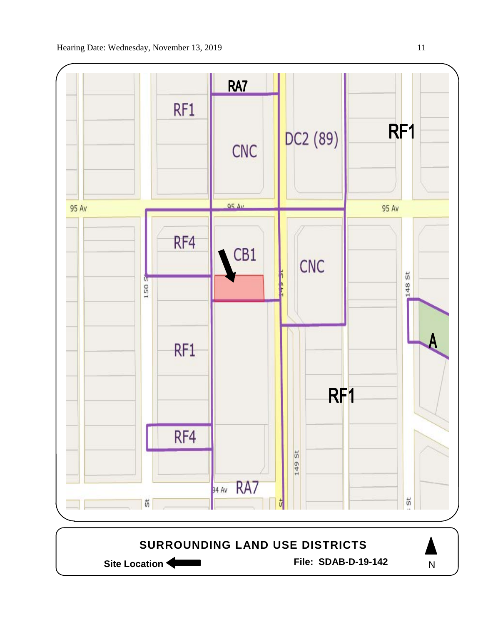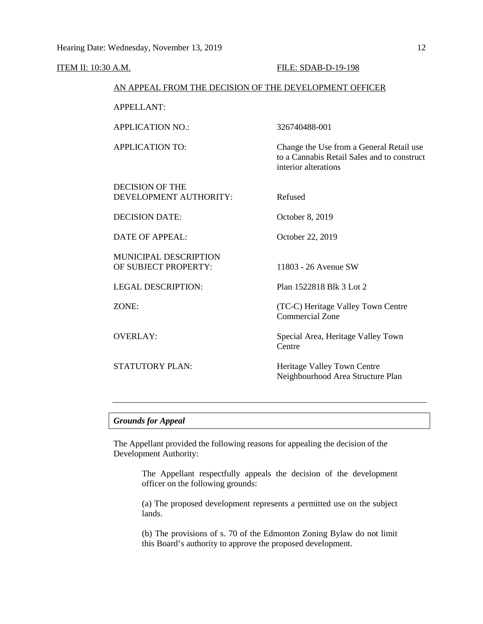ITEM II: 10:30 A.M. FILE: SDAB-D-19-198 AN APPEAL FROM THE DECISION OF THE DEVELOPMENT OFFICER APPELLANT: APPLICATION NO.: 326740488-001 APPLICATION TO: Change the Use from a General Retail use to a Cannabis Retail Sales and to construct interior alterations DECISION OF THE DEVELOPMENT AUTHORITY: Refused DECISION DATE: October 8, 2019 DATE OF APPEAL: October 22, 2019 MUNICIPAL DESCRIPTION OF SUBJECT PROPERTY: 11803 - 26 Avenue SW LEGAL DESCRIPTION: Plan 1522818 Blk 3 Lot 2 ZONE: (TC-C) Heritage Valley Town Centre Commercial Zone OVERLAY: Special Area, Heritage Valley Town Centre STATUTORY PLAN: Heritage Valley Town Centre Neighbourhood Area Structure Plan

## *Grounds for Appeal*

The Appellant provided the following reasons for appealing the decision of the Development Authority:

> The Appellant respectfully appeals the decision of the development officer on the following grounds:

> (a) The proposed development represents a permitted use on the subject lands.

> (b) The provisions of s. 70 of the Edmonton Zoning Bylaw do not limit this Board's authority to approve the proposed development.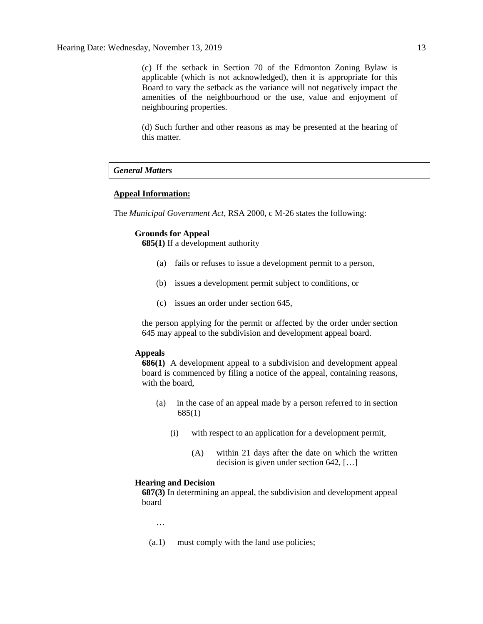(c) If the setback in Section 70 of the Edmonton Zoning Bylaw is applicable (which is not acknowledged), then it is appropriate for this Board to vary the setback as the variance will not negatively impact the amenities of the neighbourhood or the use, value and enjoyment of neighbouring properties.

(d) Such further and other reasons as may be presented at the hearing of this matter.

# *General Matters*

#### **Appeal Information:**

The *Municipal Government Act*, RSA 2000, c M-26 states the following:

#### **Grounds for Appeal**

**685(1)** If a development authority

- (a) fails or refuses to issue a development permit to a person,
- (b) issues a development permit subject to conditions, or
- (c) issues an order under section 645,

the person applying for the permit or affected by the order under section 645 may appeal to the subdivision and development appeal board.

#### **Appeals**

**686(1)** A development appeal to a subdivision and development appeal board is commenced by filing a notice of the appeal, containing reasons, with the board,

- (a) in the case of an appeal made by a person referred to in section 685(1)
	- (i) with respect to an application for a development permit,
		- (A) within 21 days after the date on which the written decision is given under section 642, […]

#### **Hearing and Decision**

**687(3)** In determining an appeal, the subdivision and development appeal board

…

(a.1) must comply with the land use policies;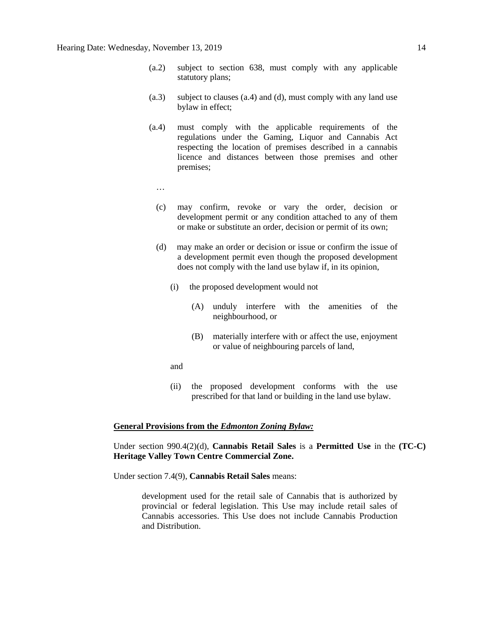- (a.2) subject to section 638, must comply with any applicable statutory plans;
- (a.3) subject to clauses (a.4) and (d), must comply with any land use bylaw in effect;
- (a.4) must comply with the applicable requirements of the regulations under the Gaming, Liquor and Cannabis Act respecting the location of premises described in a cannabis licence and distances between those premises and other premises;
	- …
	- (c) may confirm, revoke or vary the order, decision or development permit or any condition attached to any of them or make or substitute an order, decision or permit of its own;
	- (d) may make an order or decision or issue or confirm the issue of a development permit even though the proposed development does not comply with the land use bylaw if, in its opinion,
		- (i) the proposed development would not
			- (A) unduly interfere with the amenities of the neighbourhood, or
			- (B) materially interfere with or affect the use, enjoyment or value of neighbouring parcels of land,
		- and
		- (ii) the proposed development conforms with the use prescribed for that land or building in the land use bylaw.

#### **General Provisions from the** *Edmonton Zoning Bylaw:*

Under section 990.4(2)(d), **Cannabis Retail Sales** is a **Permitted Use** in the **(TC-C) Heritage Valley Town Centre Commercial Zone.**

Under section 7.4(9), **Cannabis Retail Sales** means:

development used for the retail sale of Cannabis that is authorized by provincial or federal legislation. This Use may include retail sales of Cannabis accessories. This Use does not include Cannabis Production and Distribution.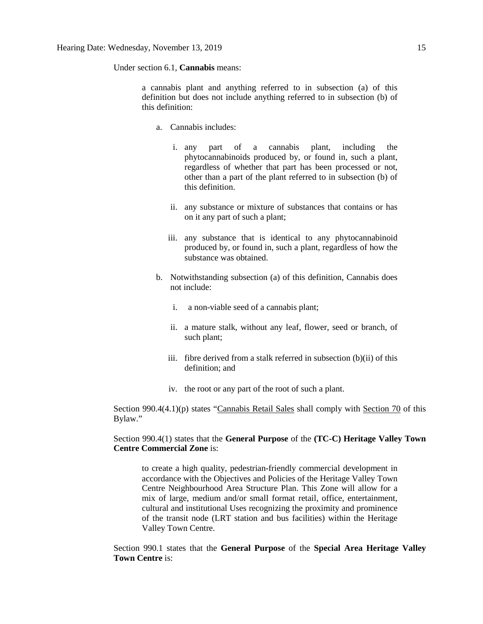Under section 6.1, **Cannabis** means:

a cannabis plant and anything referred to in subsection (a) of this definition but does not include anything referred to in subsection (b) of this definition:

- a. Cannabis includes:
	- i. any part of a cannabis plant, including the phytocannabinoids produced by, or found in, such a plant, regardless of whether that part has been processed or not, other than a part of the plant referred to in subsection (b) of this definition.
	- ii. any substance or mixture of substances that contains or has on it any part of such a plant;
	- iii. any substance that is identical to any phytocannabinoid produced by, or found in, such a plant, regardless of how the substance was obtained.
- b. Notwithstanding subsection (a) of this definition, Cannabis does not include:
	- i. a non-viable seed of a cannabis plant;
	- ii. a mature stalk, without any leaf, flower, seed or branch, of such plant;
	- iii. fibre derived from a stalk referred in subsection (b)(ii) of this definition; and
	- iv. the root or any part of the root of such a plant.

Section 990.4(4.1)(p) states "Cannabis Retail Sales shall comply with Section 70 of this Bylaw."

## Section 990.4(1) states that the **General Purpose** of the **(TC-C) Heritage Valley Town Centre Commercial Zone** is:

to create a high quality, pedestrian-friendly commercial development in accordance with the Objectives and Policies of the Heritage Valley Town Centre Neighbourhood Area Structure Plan. This Zone will allow for a mix of large, medium and/or small format retail, office, entertainment, cultural and institutional Uses recognizing the proximity and prominence of the transit node (LRT station and bus facilities) within the Heritage Valley Town Centre.

Section 990.1 states that the **General Purpose** of the **Special Area Heritage Valley Town Centre** is: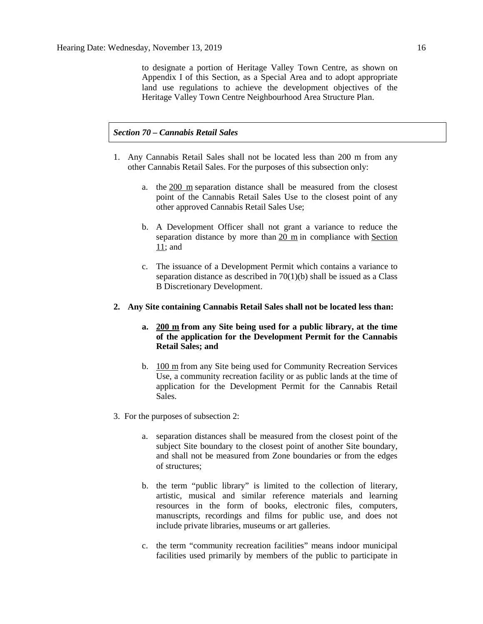to designate a portion of Heritage Valley Town Centre, as shown on Appendix I of this Section, as a Special Area and to adopt appropriate land use regulations to achieve the development objectives of the Heritage Valley Town Centre Neighbourhood Area Structure Plan.

#### *Section 70 – Cannabis Retail Sales*

- 1. Any Cannabis Retail Sales shall not be located less than 200 m from any other Cannabis Retail Sales. For the purposes of this subsection only:
	- a. the [200 m](javascript:void(0);) separation distance shall be measured from the closest point of the Cannabis Retail Sales Use to the closest point of any other approved Cannabis Retail Sales Use;
	- b. A Development Officer shall not grant a variance to reduce the separation distance by more than [20 m](javascript:void(0);) in compliance with [Section](https://webdocs.edmonton.ca/InfraPlan/zoningbylaw/ZoningBylaw/Part1/Administrative/11__Authority_and_Responsibility_of_the_Development_Officer.htm)  [11;](https://webdocs.edmonton.ca/InfraPlan/zoningbylaw/ZoningBylaw/Part1/Administrative/11__Authority_and_Responsibility_of_the_Development_Officer.htm) and
	- c. The issuance of a Development Permit which contains a variance to separation distance as described in  $70(1)(b)$  shall be issued as a Class B Discretionary Development.

#### **2. Any Site containing Cannabis Retail Sales shall not be located less than:**

### **a. [200 m](javascript:void(0);) from any Site being used for a public library, at the time of the application for the Development Permit for the Cannabis Retail Sales; and**

- b. [100 m](javascript:void(0);) from any Site being used for Community Recreation Services Use, a community recreation facility or as public lands at the time of application for the Development Permit for the Cannabis Retail Sales.
- 3. For the purposes of subsection 2:
	- a. separation distances shall be measured from the closest point of the subject Site boundary to the closest point of another Site boundary, and shall not be measured from Zone boundaries or from the edges of structures;
	- b. the term "public library" is limited to the collection of literary, artistic, musical and similar reference materials and learning resources in the form of books, electronic files, computers, manuscripts, recordings and films for public use, and does not include private libraries, museums or art galleries.
	- c. the term "community recreation facilities" means indoor municipal facilities used primarily by members of the public to participate in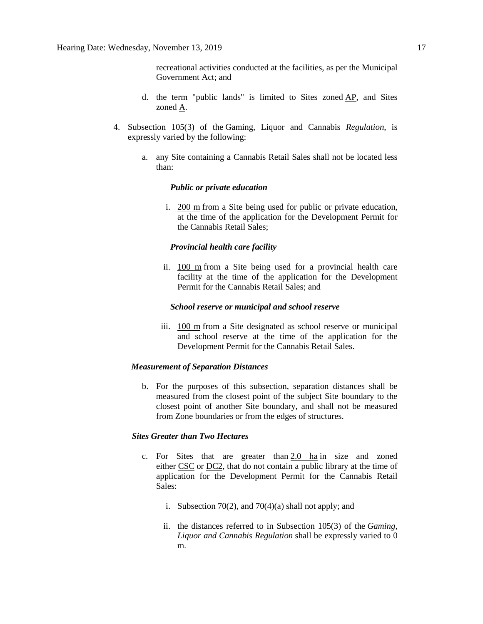recreational activities conducted at the facilities, as per the Municipal Government Act; and

- d. the term "public lands" is limited to Sites zoned [AP,](https://webdocs.edmonton.ca/InfraPlan/zoningbylaw/ZoningBylaw/Part2/Urban/530_(AP)_Public_Parks_Zone.htm) and Sites zoned [A.](https://webdocs.edmonton.ca/InfraPlan/zoningbylaw/ZoningBylaw/Part2/Urban/540_(A)_Metropolitan_Recreation_Zone.htm)
- 4. Subsection 105(3) of the Gaming, Liquor and Cannabis *Regulation*, is expressly varied by the following:
	- a. any Site containing a Cannabis Retail Sales shall not be located less than:

#### *Public or private education*

i. [200 m](javascript:void(0);) from a Site being used for public or private education, at the time of the application for the Development Permit for the Cannabis Retail Sales;

#### *Provincial health care facility*

ii. [100 m](javascript:void(0);) from a Site being used for a provincial health care facility at the time of the application for the Development Permit for the Cannabis Retail Sales; and

#### *School reserve or municipal and school reserve*

iii. [100 m](javascript:void(0);) from a Site designated as school reserve or municipal and school reserve at the time of the application for the Development Permit for the Cannabis Retail Sales.

#### *Measurement of Separation Distances*

b. For the purposes of this subsection, separation distances shall be measured from the closest point of the subject Site boundary to the closest point of another Site boundary, and shall not be measured from Zone boundaries or from the edges of structures.

### *Sites Greater than Two Hectares*

- c. For Sites that are greater than  $2.0$  ha in size and zoned either [CSC](https://webdocs.edmonton.ca/InfraPlan/zoningbylaw/ZoningBylaw/Part2/Commercial/320_(CSC)_Shopping_Centre_Zone.htm) or [DC2,](https://webdocs.edmonton.ca/InfraPlan/zoningbylaw/ZoningBylaw/Part2/Direct/720_(DC2)_Site_Specific_Development_Control_Provision.htm) that do not contain a public library at the time of application for the Development Permit for the Cannabis Retail Sales:
	- i. Subsection 70(2), and 70(4)(a) shall not apply; and
	- ii. the distances referred to in Subsection 105(3) of the *Gaming, Liquor and Cannabis Regulation* shall be expressly varied to 0 m.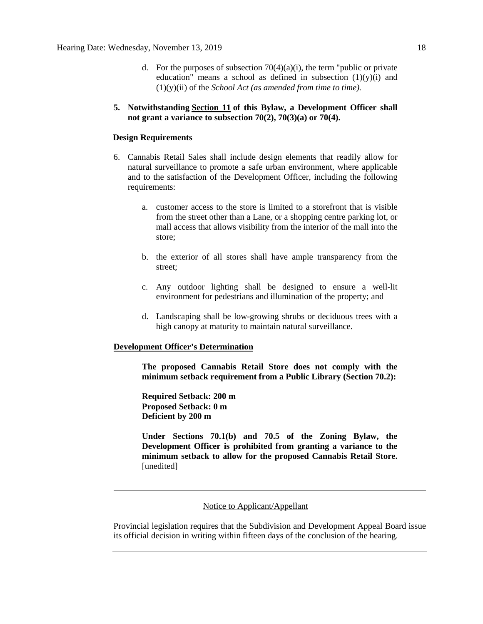- d. For the purposes of subsection  $70(4)(a)(i)$ , the term "public or private education" means a school as defined in subsection  $(1)(y)(i)$  and (1)(y)(ii) of the *School Act (as amended from time to time).*
- **5. Notwithstanding [Section 11](https://webdocs.edmonton.ca/InfraPlan/zoningbylaw/ZoningBylaw/Part1/Administrative/11__Authority_and_Responsibility_of_the_Development_Officer.htm) of this Bylaw, a Development Officer shall not grant a variance to subsection 70(2), 70(3)(a) or 70(4).**

#### **Design Requirements**

- 6. Cannabis Retail Sales shall include design elements that readily allow for natural surveillance to promote a safe urban environment, where applicable and to the satisfaction of the Development Officer, including the following requirements:
	- a. customer access to the store is limited to a storefront that is visible from the street other than a Lane, or a shopping centre parking lot, or mall access that allows visibility from the interior of the mall into the store;
	- b. the exterior of all stores shall have ample transparency from the street;
	- c. Any outdoor lighting shall be designed to ensure a well-lit environment for pedestrians and illumination of the property; and
	- d. Landscaping shall be low-growing shrubs or deciduous trees with a high canopy at maturity to maintain natural surveillance.

#### **Development Officer's Determination**

**The proposed Cannabis Retail Store does not comply with the minimum setback requirement from a Public Library (Section 70.2):**

**Required Setback: 200 m Proposed Setback: 0 m Deficient by 200 m**

**Under Sections 70.1(b) and 70.5 of the Zoning Bylaw, the Development Officer is prohibited from granting a variance to the minimum setback to allow for the proposed Cannabis Retail Store.** [unedited]

#### Notice to Applicant/Appellant

Provincial legislation requires that the Subdivision and Development Appeal Board issue its official decision in writing within fifteen days of the conclusion of the hearing.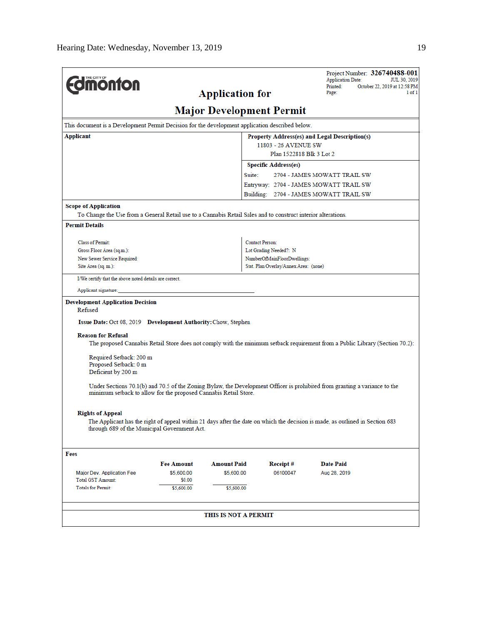| <b>dmonton</b>                                                                                                                                                                                 |                                               | <b>Application for</b>          |                                        |                              | <b>Application Date:</b><br>JUL 30, 2019<br>Printed:<br>October 22, 2019 at 12:58 PM |  |
|------------------------------------------------------------------------------------------------------------------------------------------------------------------------------------------------|-----------------------------------------------|---------------------------------|----------------------------------------|------------------------------|--------------------------------------------------------------------------------------|--|
|                                                                                                                                                                                                |                                               | Page:                           | 1 of 1                                 |                              |                                                                                      |  |
|                                                                                                                                                                                                |                                               | <b>Major Development Permit</b> |                                        |                              |                                                                                      |  |
| This document is a Development Permit Decision for the development application described below.                                                                                                |                                               |                                 |                                        |                              |                                                                                      |  |
| Applicant                                                                                                                                                                                      | Property Address(es) and Legal Description(s) |                                 |                                        |                              |                                                                                      |  |
|                                                                                                                                                                                                |                                               |                                 | 11803 - 26 AVENUE SW                   |                              |                                                                                      |  |
|                                                                                                                                                                                                |                                               |                                 | Plan 1522818 Blk 3 Lot 2               |                              |                                                                                      |  |
|                                                                                                                                                                                                |                                               |                                 | <b>Specific Address(es)</b>            |                              |                                                                                      |  |
|                                                                                                                                                                                                |                                               | Suite:                          |                                        | 2704 - JAMES MOWATT TRAIL SW |                                                                                      |  |
|                                                                                                                                                                                                |                                               |                                 | Entryway: 2704 - JAMES MOWATT TRAIL SW |                              |                                                                                      |  |
|                                                                                                                                                                                                |                                               |                                 | Building: 2704 - JAMES MOWATT TRAIL SW |                              |                                                                                      |  |
| <b>Scope of Application</b>                                                                                                                                                                    |                                               |                                 |                                        |                              |                                                                                      |  |
| To Change the Use from a General Retail use to a Cannabis Retail Sales and to construct interior alterations.                                                                                  |                                               |                                 |                                        |                              |                                                                                      |  |
| <b>Permit Details</b>                                                                                                                                                                          |                                               |                                 |                                        |                              |                                                                                      |  |
| Class of Permit:                                                                                                                                                                               |                                               |                                 | <b>Contact Person:</b>                 |                              |                                                                                      |  |
| Gross Floor Area (sq.m.):                                                                                                                                                                      |                                               |                                 | Lot Grading Needed?: N                 |                              |                                                                                      |  |
| New Sewer Service Required:                                                                                                                                                                    |                                               |                                 | NumberOfMainFloorDwellings:            |                              |                                                                                      |  |
| Site Area (sq. m.):                                                                                                                                                                            |                                               |                                 | Stat. Plan Overlay/Annex Area: (none)  |                              |                                                                                      |  |
| I/We certify that the above noted details are correct.                                                                                                                                         |                                               |                                 |                                        |                              |                                                                                      |  |
| Applicant signature:                                                                                                                                                                           |                                               |                                 |                                        |                              |                                                                                      |  |
| <b>Development Application Decision</b>                                                                                                                                                        |                                               |                                 |                                        |                              |                                                                                      |  |
| Refused                                                                                                                                                                                        |                                               |                                 |                                        |                              |                                                                                      |  |
| Issue Date: Oct 08, 2019 Development Authority: Chow, Stephen                                                                                                                                  |                                               |                                 |                                        |                              |                                                                                      |  |
| <b>Reason for Refusal</b>                                                                                                                                                                      |                                               |                                 |                                        |                              |                                                                                      |  |
| The proposed Cannabis Retail Store does not comply with the minimum setback requirement from a Public Library (Section 70.2):                                                                  |                                               |                                 |                                        |                              |                                                                                      |  |
| Required Setback: 200 m                                                                                                                                                                        |                                               |                                 |                                        |                              |                                                                                      |  |
| Proposed Setback: 0 m                                                                                                                                                                          |                                               |                                 |                                        |                              |                                                                                      |  |
| Deficient by 200 m                                                                                                                                                                             |                                               |                                 |                                        |                              |                                                                                      |  |
| Under Sections 70.1(b) and 70.5 of the Zoning Bylaw, the Development Officer is prohibited from granting a variance to the<br>minimum setback to allow for the proposed Cannabis Retail Store. |                                               |                                 |                                        |                              |                                                                                      |  |
|                                                                                                                                                                                                |                                               |                                 |                                        |                              |                                                                                      |  |
| <b>Rights of Appeal</b><br>The Applicant has the right of appeal within 21 days after the date on which the decision is made, as outlined in Section 683                                       |                                               |                                 |                                        |                              |                                                                                      |  |
| through 689 of the Municipal Government Act.                                                                                                                                                   |                                               |                                 |                                        |                              |                                                                                      |  |
| Fees                                                                                                                                                                                           |                                               |                                 |                                        |                              |                                                                                      |  |
|                                                                                                                                                                                                | <b>Fee Amount</b>                             | <b>Amount Paid</b>              | Receipt#                               | <b>Date Paid</b>             |                                                                                      |  |
| Major Dev. Application Fee                                                                                                                                                                     | \$5,600.00                                    | \$5,600.00                      | 06100047                               | Aug 28, 2019                 |                                                                                      |  |
| Total GST Amount:                                                                                                                                                                              | \$0.00                                        |                                 |                                        |                              |                                                                                      |  |
| <b>Totals for Permit:</b>                                                                                                                                                                      | \$5,600.00                                    | \$5,600.00                      |                                        |                              |                                                                                      |  |
|                                                                                                                                                                                                |                                               |                                 |                                        |                              |                                                                                      |  |
|                                                                                                                                                                                                |                                               | THIS IS NOT A PERMIT            |                                        |                              |                                                                                      |  |
|                                                                                                                                                                                                |                                               |                                 |                                        |                              |                                                                                      |  |